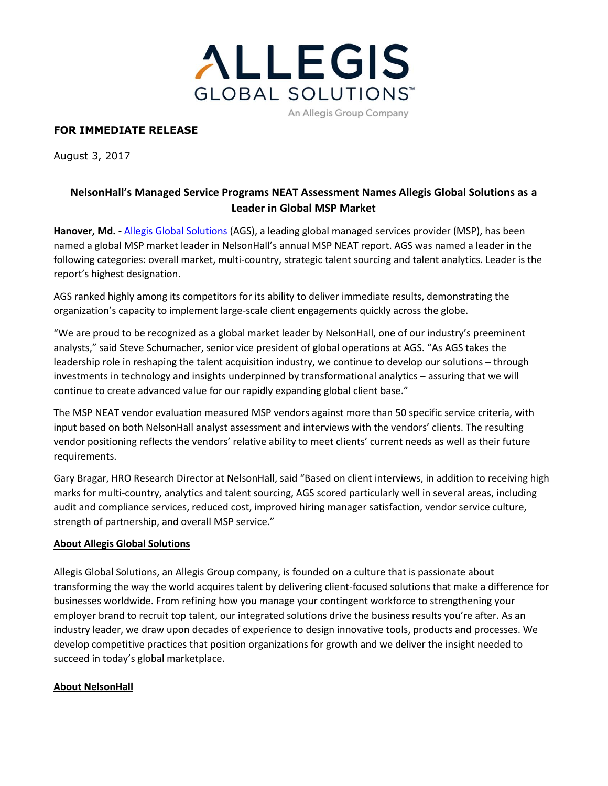

# **FOR IMMEDIATE RELEASE**

August 3, 2017

# **NelsonHall's Managed Service Programs NEAT Assessment Names Allegis Global Solutions as a Leader in Global MSP Market**

**Hanover, Md. -** [Allegis Global Solutions](https://www.allegisglobalsolutions.com/) (AGS), a leading global managed services provider (MSP), has been named a global MSP market leader in NelsonHall's annual MSP NEAT report. AGS was named a leader in the following categories: overall market, multi-country, strategic talent sourcing and talent analytics. Leader is the report's highest designation.

AGS ranked highly among its competitors for its ability to deliver immediate results, demonstrating the organization's capacity to implement large-scale client engagements quickly across the globe.

"We are proud to be recognized as a global market leader by NelsonHall, one of our industry's preeminent analysts," said Steve Schumacher, senior vice president of global operations at AGS. "As AGS takes the leadership role in reshaping the talent acquisition industry, we continue to develop our solutions – through investments in technology and insights underpinned by transformational analytics – assuring that we will continue to create advanced value for our rapidly expanding global client base."

The MSP NEAT vendor evaluation measured MSP vendors against more than 50 specific service criteria, with input based on both NelsonHall analyst assessment and interviews with the vendors' clients. The resulting vendor positioning reflects the vendors' relative ability to meet clients' current needs as well as their future requirements.

Gary Bragar, HRO Research Director at NelsonHall, said "Based on client interviews, in addition to receiving high marks for multi-country, analytics and talent sourcing, AGS scored particularly well in several areas, including audit and compliance services, reduced cost, improved hiring manager satisfaction, vendor service culture, strength of partnership, and overall MSP service."

### **About Allegis Global Solutions**

Allegis Global Solutions, an Allegis Group company, is founded on a culture that is passionate about transforming the way the world acquires talent by delivering client-focused solutions that make a difference for businesses worldwide. From refining how you manage your contingent workforce to strengthening your employer brand to recruit top talent, our integrated solutions drive the business results you're after. As an industry leader, we draw upon decades of experience to design innovative tools, products and processes. We develop competitive practices that position organizations for growth and we deliver the insight needed to succeed in today's global marketplace.

### **About NelsonHall**